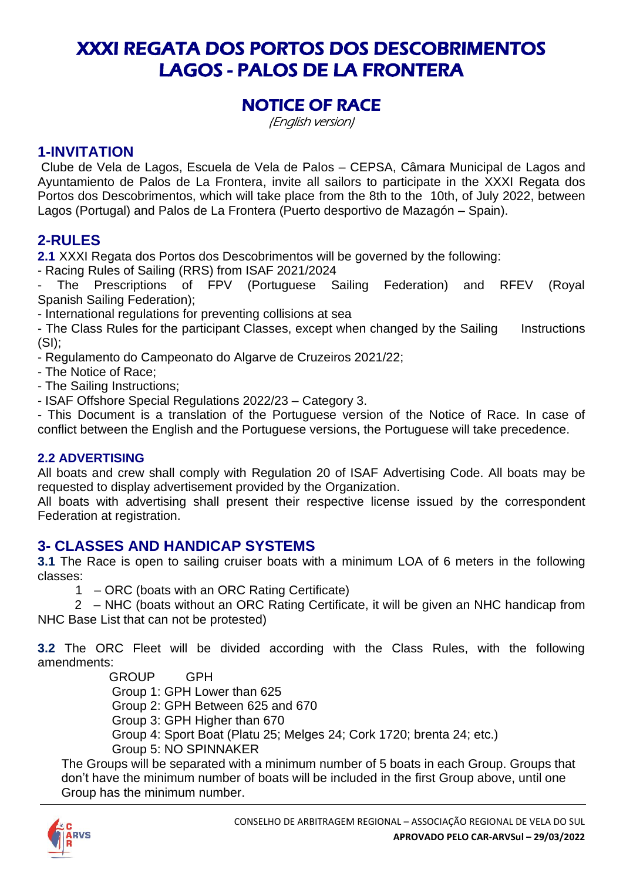# XXXI REGATA DOS PORTOS DOS DESCOBRIMENTOS LAGOS - PALOS DE LA FRONTERA

# NOTICE OF RACE

(English version)

# **1-INVITATION**

Clube de Vela de Lagos, Escuela de Vela de Palos – CEPSA, Câmara Municipal de Lagos and Ayuntamiento de Palos de La Frontera, invite all sailors to participate in the XXXI Regata dos Portos dos Descobrimentos, which will take place from the 8th to the 10th, of July 2022, between Lagos (Portugal) and Palos de La Frontera (Puerto desportivo de Mazagón – Spain).

# **2-RULES**

**2.1** XXXI Regata dos Portos dos Descobrimentos will be governed by the following:

- Racing Rules of Sailing (RRS) from ISAF 2021/2024

The Prescriptions of FPV (Portuguese Sailing Federation) and RFEV (Royal Spanish Sailing Federation);

- International regulations for preventing collisions at sea

- The Class Rules for the participant Classes, except when changed by the Sailing Instructions  $(SI):$ 

- Regulamento do Campeonato do Algarve de Cruzeiros 2021/22;

- The Notice of Race;

- The Sailing Instructions;

- ISAF Offshore Special Regulations 2022/23 – Category 3.

- This Document is a translation of the Portuguese version of the Notice of Race. In case of conflict between the English and the Portuguese versions, the Portuguese will take precedence.

### **2.2 ADVERTISING**

All boats and crew shall comply with Regulation 20 of ISAF Advertising Code. All boats may be requested to display advertisement provided by the Organization.

All boats with advertising shall present their respective license issued by the correspondent Federation at registration.

# **3- CLASSES AND HANDICAP SYSTEMS**

**3.1** The Race is open to sailing cruiser boats with a minimum LOA of 6 meters in the following classes:

1 – ORC (boats with an ORC Rating Certificate)

 2 – NHC (boats without an ORC Rating Certificate, it will be given an NHC handicap from NHC Base List that can not be protested)

**3.2** The ORC Fleet will be divided according with the Class Rules, with the following amendments:

GROUP GPH

Group 1: GPH Lower than 625

Group 2: GPH Between 625 and 670

Group 3: GPH Higher than 670

Group 4: Sport Boat (Platu 25; Melges 24; Cork 1720; brenta 24; etc.)

Group 5: NO SPINNAKER

The Groups will be separated with a minimum number of 5 boats in each Group. Groups that don't have the minimum number of boats will be included in the first Group above, until one Group has the minimum number.

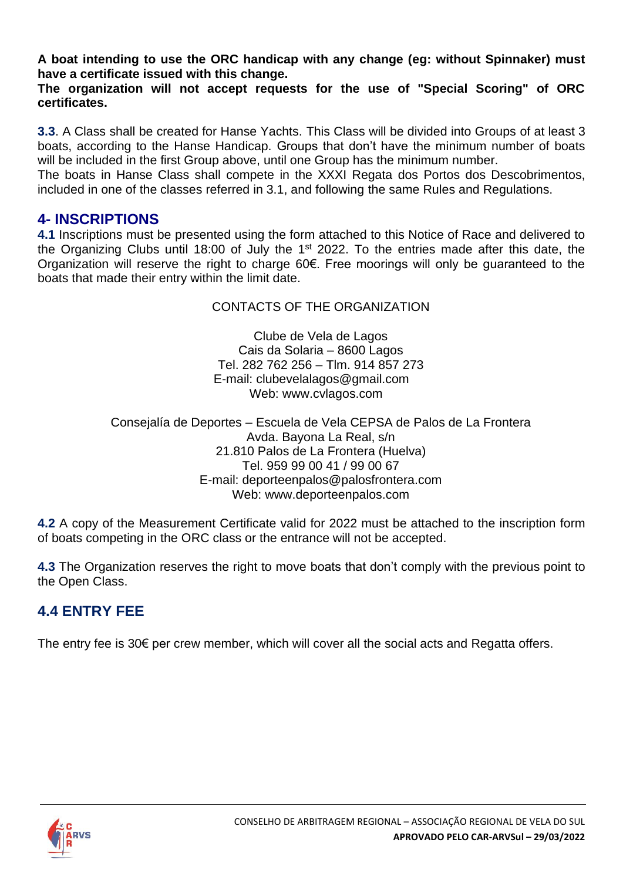**A boat intending to use the ORC handicap with any change (eg: without Spinnaker) must have a certificate issued with this change.**

**The organization will not accept requests for the use of "Special Scoring" of ORC certificates.**

**3.3**. A Class shall be created for Hanse Yachts. This Class will be divided into Groups of at least 3 boats, according to the Hanse Handicap. Groups that don't have the minimum number of boats will be included in the first Group above, until one Group has the minimum number.

The boats in Hanse Class shall compete in the XXXI Regata dos Portos dos Descobrimentos, included in one of the classes referred in 3.1, and following the same Rules and Regulations.

### **4- INSCRIPTIONS**

**4.1** Inscriptions must be presented using the form attached to this Notice of Race and delivered to the Organizing Clubs until 18:00 of July the  $1<sup>st</sup>$  2022. To the entries made after this date, the Organization will reserve the right to charge 60€. Free moorings will only be guaranteed to the boats that made their entry within the limit date.

### CONTACTS OF THE ORGANIZATION

Clube de Vela de Lagos Cais da Solaria – 8600 Lagos Tel. 282 762 256 – Tlm. 914 857 273 E-mail: clubevelalagos@gmail.com Web: www.cvlagos.com

Consejalía de Deportes – Escuela de Vela CEPSA de Palos de La Frontera Avda. Bayona La Real, s/n 21.810 Palos de La Frontera (Huelva) Tel. 959 99 00 41 / 99 00 67 E-mail: deporteenpalos@palosfrontera.com Web: www.deporteenpalos.com

**4.2** A copy of the Measurement Certificate valid for 2022 must be attached to the inscription form of boats competing in the ORC class or the entrance will not be accepted.

**4.3** The Organization reserves the right to move boats that don't comply with the previous point to the Open Class.

# **4.4 ENTRY FEE**

The entry fee is 30€ per crew member, which will cover all the social acts and Regatta offers.

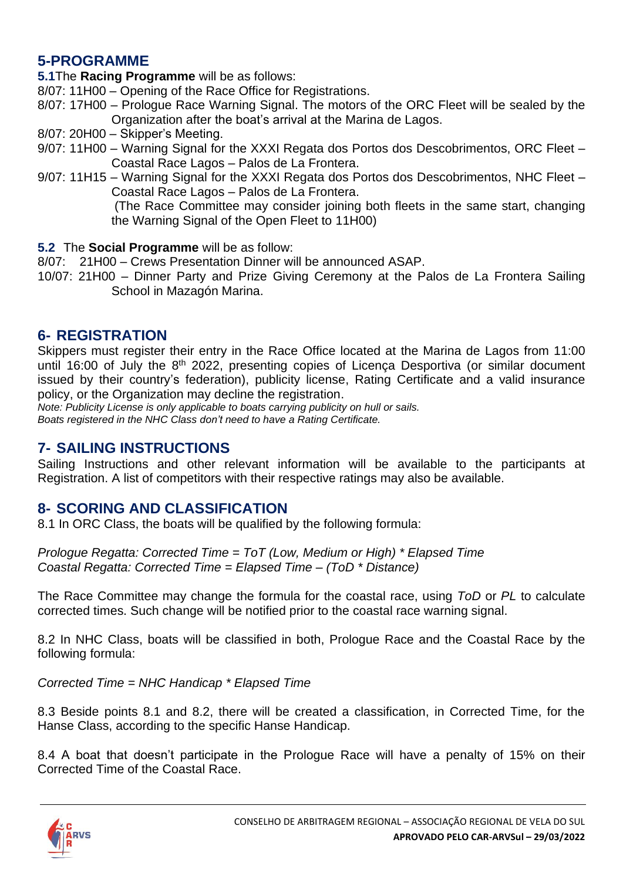# **5-PROGRAMME**

**5.1**The **Racing Programme** will be as follows:

- 8/07: 11H00 Opening of the Race Office for Registrations.
- 8/07: 17H00 Prologue Race Warning Signal. The motors of the ORC Fleet will be sealed by the Organization after the boat's arrival at the Marina de Lagos.
- 8/07: 20H00 Skipper's Meeting.
- 9/07: 11H00 Warning Signal for the XXXI Regata dos Portos dos Descobrimentos, ORC Fleet Coastal Race Lagos – Palos de La Frontera.
- 9/07: 11H15 Warning Signal for the XXXI Regata dos Portos dos Descobrimentos, NHC Fleet Coastal Race Lagos – Palos de La Frontera.

 (The Race Committee may consider joining both fleets in the same start, changing the Warning Signal of the Open Fleet to 11H00)

- **5.2** The **Social Programme** will be as follow:
- 8/07: 21H00 Crews Presentation Dinner will be announced ASAP.
- 10/07: 21H00 Dinner Party and Prize Giving Ceremony at the Palos de La Frontera Sailing School in Mazagón Marina.

### **6- REGISTRATION**

Skippers must register their entry in the Race Office located at the Marina de Lagos from 11:00 until 16:00 of July the 8<sup>th</sup> 2022, presenting copies of Licença Desportiva (or similar document issued by their country's federation), publicity license, Rating Certificate and a valid insurance policy, or the Organization may decline the registration.

*Note: Publicity License is only applicable to boats carrying publicity on hull or sails. Boats registered in the NHC Class don't need to have a Rating Certificate.*

# **7- SAILING INSTRUCTIONS**

Sailing Instructions and other relevant information will be available to the participants at Registration. A list of competitors with their respective ratings may also be available.

# **8- SCORING AND CLASSIFICATION**

8.1 In ORC Class, the boats will be qualified by the following formula:

*Prologue Regatta: Corrected Time = ToT (Low, Medium or High) \* Elapsed Time Coastal Regatta: Corrected Time = Elapsed Time – (ToD \* Distance)*

The Race Committee may change the formula for the coastal race, using *ToD* or *PL* to calculate corrected times. Such change will be notified prior to the coastal race warning signal.

8.2 In NHC Class, boats will be classified in both, Prologue Race and the Coastal Race by the following formula:

*Corrected Time = NHC Handicap \* Elapsed Time*

8.3 Beside points 8.1 and 8.2, there will be created a classification, in Corrected Time, for the Hanse Class, according to the specific Hanse Handicap.

8.4 A boat that doesn't participate in the Prologue Race will have a penalty of 15% on their Corrected Time of the Coastal Race.

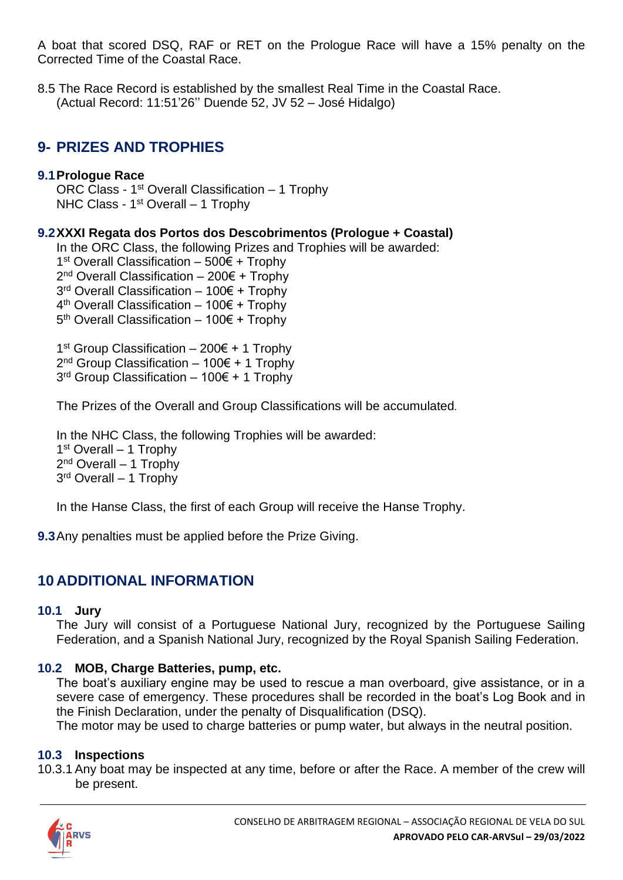A boat that scored DSQ, RAF or RET on the Prologue Race will have a 15% penalty on the Corrected Time of the Coastal Race.

8.5 The Race Record is established by the smallest Real Time in the Coastal Race. (Actual Record: 11:51'26'' Duende 52, JV 52 – José Hidalgo)

# **9- PRIZES AND TROPHIES**

### **9.1Prologue Race**

ORC Class -  $1<sup>st</sup>$  Overall Classification  $-1$  Trophy NHC Class - 1<sup>st</sup> Overall - 1 Trophy

### **9.2XXXI Regata dos Portos dos Descobrimentos (Prologue + Coastal)**

In the ORC Class, the following Prizes and Trophies will be awarded:

1<sup>st</sup> Overall Classification – 500€ + Trophy

2<sup>nd</sup> Overall Classification – 200€ + Trophy

3<sup>rd</sup> Overall Classification – 100€ + Trophy

4 th Overall Classification – 100€ + Trophy

5<sup>th</sup> Overall Classification – 100€ + Trophy

1<sup>st</sup> Group Classification – 200€ + 1 Trophy 2<sup>nd</sup> Group Classification – 100€ + 1 Trophy 3<sup>rd</sup> Group Classification – 100€ + 1 Trophy

The Prizes of the Overall and Group Classifications will be accumulated*.*

In the NHC Class, the following Trophies will be awarded: 1st Overall - 1 Trophy 2<sup>nd</sup> Overall – 1 Trophy 3<sup>rd</sup> Overall – 1 Trophy

In the Hanse Class, the first of each Group will receive the Hanse Trophy.

**9.3**Any penalties must be applied before the Prize Giving.

# **10 ADDITIONAL INFORMATION**

#### **10.1 Jury**

The Jury will consist of a Portuguese National Jury, recognized by the Portuguese Sailing Federation, and a Spanish National Jury, recognized by the Royal Spanish Sailing Federation.

### **10.2 MOB, Charge Batteries, pump, etc.**

The boat's auxiliary engine may be used to rescue a man overboard, give assistance, or in a severe case of emergency. These procedures shall be recorded in the boat's Log Book and in the Finish Declaration, under the penalty of Disqualification (DSQ).

The motor may be used to charge batteries or pump water, but always in the neutral position.

### **10.3 Inspections**

10.3.1 Any boat may be inspected at any time, before or after the Race. A member of the crew will be present.